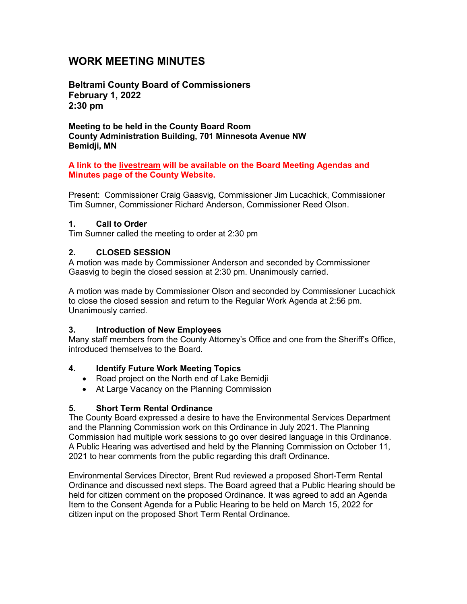# **WORK MEETING MINUTES**

**Beltrami County Board of Commissioners February 1, 2022 2:30 pm**

**Meeting to be held in the County Board Room County Administration Building, 701 Minnesota Avenue NW Bemidji, MN**

#### **A link to the livestream will be available on the Board Meeting Agendas and Minutes page of the County Website.**

Present: Commissioner Craig Gaasvig, Commissioner Jim Lucachick, Commissioner Tim Sumner, Commissioner Richard Anderson, Commissioner Reed Olson.

#### **1. Call to Order**

Tim Sumner called the meeting to order at 2:30 pm

### **2. CLOSED SESSION**

A motion was made by Commissioner Anderson and seconded by Commissioner Gaasvig to begin the closed session at 2:30 pm. Unanimously carried.

A motion was made by Commissioner Olson and seconded by Commissioner Lucachick to close the closed session and return to the Regular Work Agenda at 2:56 pm. Unanimously carried.

### **3. Introduction of New Employees**

Many staff members from the County Attorney's Office and one from the Sheriff's Office, introduced themselves to the Board.

### **4. Identify Future Work Meeting Topics**

- Road project on the North end of Lake Bemidji
- At Large Vacancy on the Planning Commission

### **5. Short Term Rental Ordinance**

The County Board expressed a desire to have the Environmental Services Department and the Planning Commission work on this Ordinance in July 2021. The Planning Commission had multiple work sessions to go over desired language in this Ordinance. A Public Hearing was advertised and held by the Planning Commission on October 11, 2021 to hear comments from the public regarding this draft Ordinance.

Environmental Services Director, Brent Rud reviewed a proposed Short-Term Rental Ordinance and discussed next steps. The Board agreed that a Public Hearing should be held for citizen comment on the proposed Ordinance. It was agreed to add an Agenda Item to the Consent Agenda for a Public Hearing to be held on March 15, 2022 for citizen input on the proposed Short Term Rental Ordinance.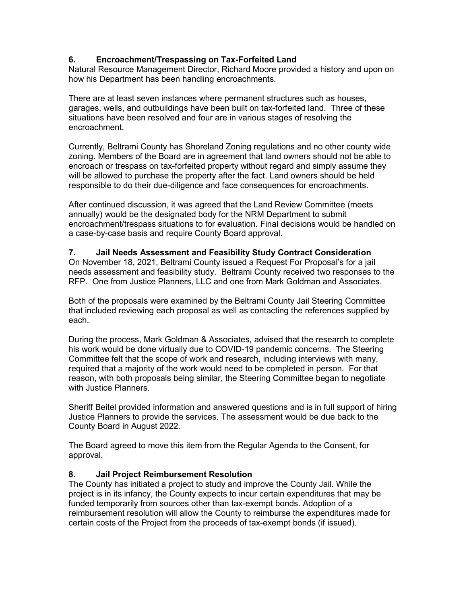# **6. Encroachment/Trespassing on Tax-Forfeited Land**

Natural Resource Management Director, Richard Moore provided a history and upon on how his Department has been handling encroachments.

There are at least seven instances where permanent structures such as houses, garages, wells, and outbuildings have been built on tax-forfeited land. Three of these situations have been resolved and four are in various stages of resolving the encroachment.

Currently, Beltrami County has Shoreland Zoning regulations and no other county wide zoning. Members of the Board are in agreement that land owners should not be able to encroach or trespass on tax-forfeited property without regard and simply assume they will be allowed to purchase the property after the fact. Land owners should be held responsible to do their due-diligence and face consequences for encroachments.

After continued discussion, it was agreed that the Land Review Committee (meets annually) would be the designated body for the NRM Department to submit encroachment/trespass situations to for evaluation. Final decisions would be handled on a case-by-case basis and require County Board approval.

#### **7. Jail Needs Assessment and Feasibility Study Contract Consideration**

On November 18, 2021, Beltrami County issued a Request For Proposal's for a jail needs assessment and feasibility study. Beltrami County received two responses to the RFP. One from Justice Planners, LLC and one from Mark Goldman and Associates.

Both of the proposals were examined by the Beltrami County Jail Steering Committee that included reviewing each proposal as well as contacting the references supplied by each.

During the process, Mark Goldman & Associates, advised that the research to complete his work would be done virtually due to COVID-19 pandemic concerns. The Steering Committee felt that the scope of work and research, including interviews with many, required that a majority of the work would need to be completed in person. For that reason, with both proposals being similar, the Steering Committee began to negotiate with Justice Planners.

Sheriff Beitel provided information and answered questions and is in full support of hiring Justice Planners to provide the services. The assessment would be due back to the County Board in August 2022.

The Board agreed to move this item from the Regular Agenda to the Consent, for approval.

### **8. Jail Project Reimbursement Resolution**

The County has initiated a project to study and improve the County Jail. While the project is in its infancy, the County expects to incur certain expenditures that may be funded temporarily from sources other than tax-exempt bonds. Adoption of a reimbursement resolution will allow the County to reimburse the expenditures made for certain costs of the Project from the proceeds of tax-exempt bonds (if issued).